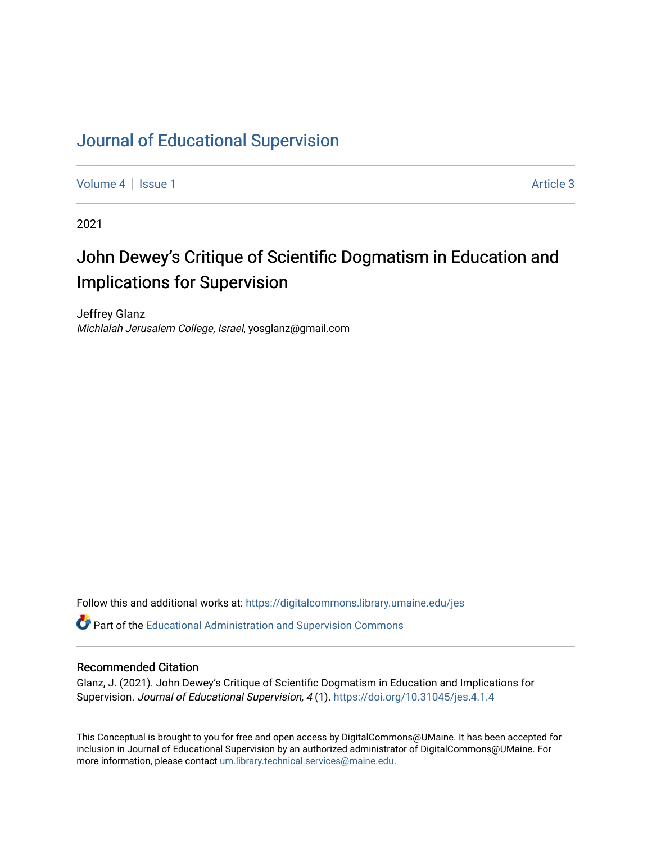## [Journal of Educational Supervision](https://digitalcommons.library.umaine.edu/jes)

[Volume 4](https://digitalcommons.library.umaine.edu/jes/vol4) | [Issue 1](https://digitalcommons.library.umaine.edu/jes/vol4/iss1) Article 3

2021

## John Dewey's Critique of Scientific Dogmatism in Education and Implications for Supervision

Jeffrey Glanz Michlalah Jerusalem College, Israel, yosglanz@gmail.com

Follow this and additional works at: [https://digitalcommons.library.umaine.edu/jes](https://digitalcommons.library.umaine.edu/jes?utm_source=digitalcommons.library.umaine.edu%2Fjes%2Fvol4%2Fiss1%2F3&utm_medium=PDF&utm_campaign=PDFCoverPages)

**C** Part of the [Educational Administration and Supervision Commons](http://network.bepress.com/hgg/discipline/787?utm_source=digitalcommons.library.umaine.edu%2Fjes%2Fvol4%2Fiss1%2F3&utm_medium=PDF&utm_campaign=PDFCoverPages)

#### Recommended Citation

Glanz, J. (2021). John Dewey's Critique of Scientific Dogmatism in Education and Implications for Supervision. Journal of Educational Supervision, 4 (1).<https://doi.org/10.31045/jes.4.1.4>

This Conceptual is brought to you for free and open access by DigitalCommons@UMaine. It has been accepted for inclusion in Journal of Educational Supervision by an authorized administrator of DigitalCommons@UMaine. For more information, please contact [um.library.technical.services@maine.edu](mailto:um.library.technical.services@maine.edu).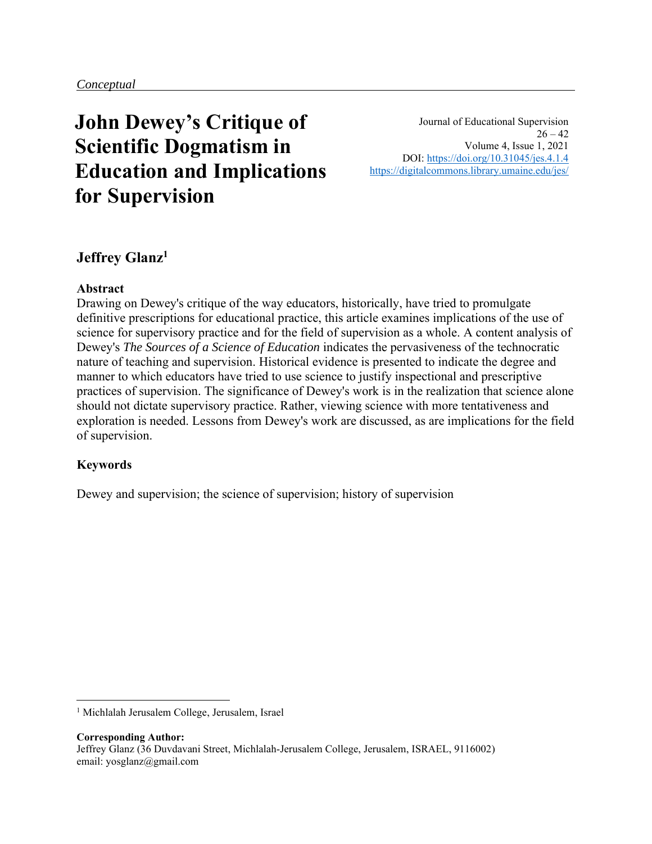# **John Dewey's Critique of Scientific Dogmatism in Education and Implications for Supervision**

Journal of Educational Supervision  $26 - 42$ Volume 4, Issue 1, 2021 DOI:<https://doi.org/10.31045/jes.4.1.4> <https://digitalcommons.library.umaine.edu/jes/>

### **Jeffrey Glanz<sup>1</sup>**

#### **Abstract**

Drawing on Dewey's critique of the way educators, historically, have tried to promulgate definitive prescriptions for educational practice, this article examines implications of the use of science for supervisory practice and for the field of supervision as a whole. A content analysis of Dewey's *The Sources of a Science of Education* indicates the pervasiveness of the technocratic nature of teaching and supervision. Historical evidence is presented to indicate the degree and manner to which educators have tried to use science to justify inspectional and prescriptive practices of supervision. The significance of Dewey's work is in the realization that science alone should not dictate supervisory practice. Rather, viewing science with more tentativeness and exploration is needed. Lessons from Dewey's work are discussed, as are implications for the field of supervision.

#### **Keywords**

Dewey and supervision; the science of supervision; history of supervision

**Corresponding Author:** Jeffrey Glanz (36 Duvdavani Street, Michlalah-Jerusalem College, Jerusalem, ISRAEL, 9116002) email: yosglanz@gmail.com

<sup>1</sup> Michlalah Jerusalem College, Jerusalem, Israel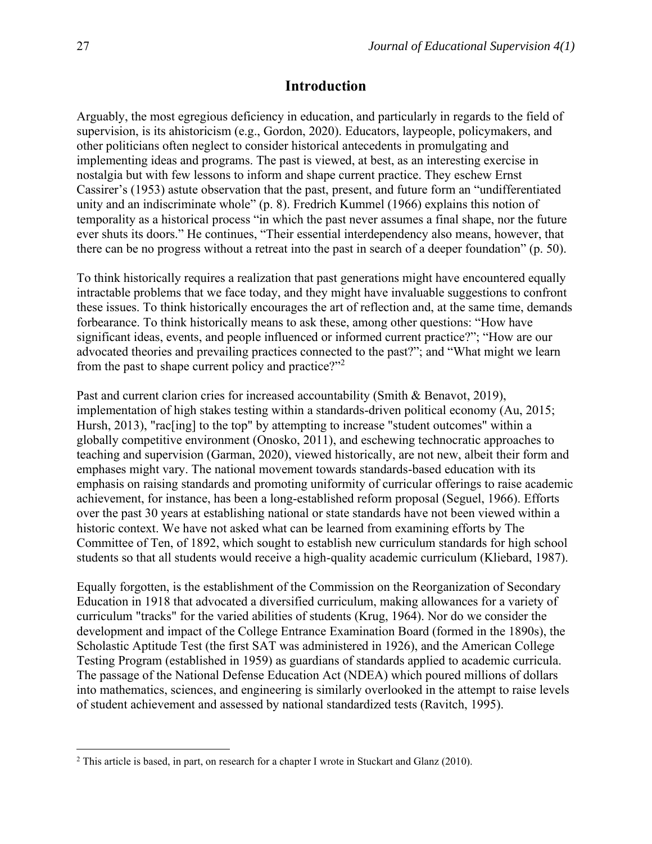#### **Introduction**

Arguably, the most egregious deficiency in education, and particularly in regards to the field of supervision, is its ahistoricism (e.g., Gordon, 2020). Educators, laypeople, policymakers, and other politicians often neglect to consider historical antecedents in promulgating and implementing ideas and programs. The past is viewed, at best, as an interesting exercise in nostalgia but with few lessons to inform and shape current practice. They eschew Ernst Cassirer's (1953) astute observation that the past, present, and future form an "undifferentiated unity and an indiscriminate whole" (p. 8). Fredrich Kummel (1966) explains this notion of temporality as a historical process "in which the past never assumes a final shape, nor the future ever shuts its doors." He continues, "Their essential interdependency also means, however, that there can be no progress without a retreat into the past in search of a deeper foundation" (p. 50).

To think historically requires a realization that past generations might have encountered equally intractable problems that we face today, and they might have invaluable suggestions to confront these issues. To think historically encourages the art of reflection and, at the same time, demands forbearance. To think historically means to ask these, among other questions: "How have significant ideas, events, and people influenced or informed current practice?"; "How are our advocated theories and prevailing practices connected to the past?"; and "What might we learn from the past to shape current policy and practice?"<sup>2</sup>

Past and current clarion cries for increased accountability (Smith & Benavot, 2019), implementation of high stakes testing within a standards-driven political economy (Au, 2015; Hursh, 2013), "rac<sup>[ing]</sup> to the top" by attempting to increase "student outcomes" within a globally competitive environment (Onosko, 2011), and eschewing technocratic approaches to teaching and supervision (Garman, 2020), viewed historically, are not new, albeit their form and emphases might vary. The national movement towards standards-based education with its emphasis on raising standards and promoting uniformity of curricular offerings to raise academic achievement, for instance, has been a long-established reform proposal (Seguel, 1966). Efforts over the past 30 years at establishing national or state standards have not been viewed within a historic context. We have not asked what can be learned from examining efforts by The Committee of Ten, of 1892, which sought to establish new curriculum standards for high school students so that all students would receive a high-quality academic curriculum (Kliebard, 1987).

Equally forgotten, is the establishment of the Commission on the Reorganization of Secondary Education in 1918 that advocated a diversified curriculum, making allowances for a variety of curriculum "tracks" for the varied abilities of students (Krug, 1964). Nor do we consider the development and impact of the College Entrance Examination Board (formed in the 1890s), the Scholastic Aptitude Test (the first SAT was administered in 1926), and the American College Testing Program (established in 1959) as guardians of standards applied to academic curricula. The passage of the National Defense Education Act (NDEA) which poured millions of dollars into mathematics, sciences, and engineering is similarly overlooked in the attempt to raise levels of student achievement and assessed by national standardized tests (Ravitch, 1995).

<sup>&</sup>lt;sup>2</sup> This article is based, in part, on research for a chapter I wrote in Stuckart and Glanz (2010).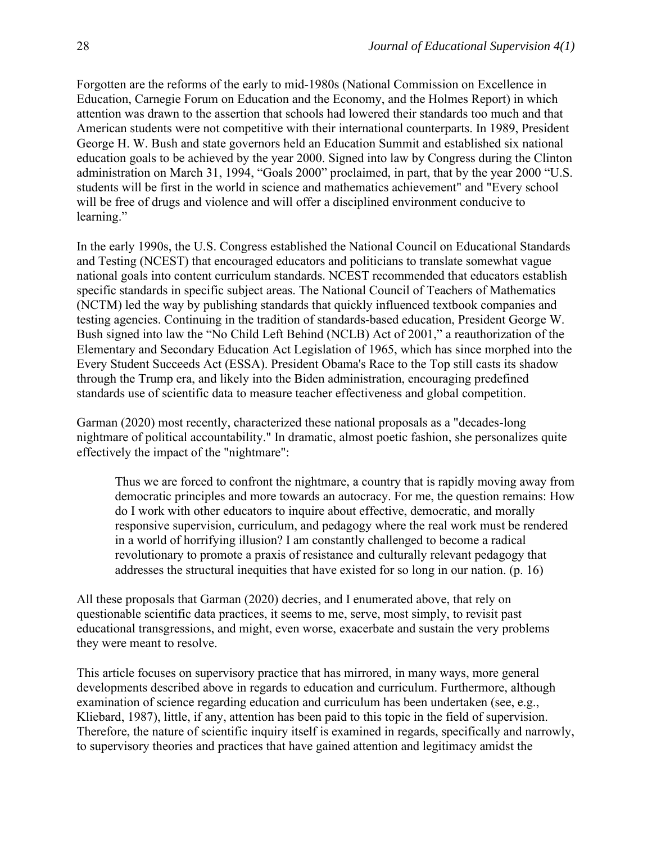Forgotten are the reforms of the early to mid-1980s (National Commission on Excellence in Education, Carnegie Forum on Education and the Economy, and the Holmes Report) in which attention was drawn to the assertion that schools had lowered their standards too much and that American students were not competitive with their international counterparts. In 1989, President George H. W. Bush and state governors held an Education Summit and established six national education goals to be achieved by the year 2000. Signed into law by Congress during the Clinton administration on March 31, 1994, "Goals 2000" proclaimed, in part, that by the year 2000 "U.S. students will be first in the world in science and mathematics achievement" and "Every school will be free of drugs and violence and will offer a disciplined environment conducive to learning."

In the early 1990s, the U.S. Congress established the National Council on Educational Standards and Testing (NCEST) that encouraged educators and politicians to translate somewhat vague national goals into content curriculum standards. NCEST recommended that educators establish specific standards in specific subject areas. The National Council of Teachers of Mathematics (NCTM) led the way by publishing standards that quickly influenced textbook companies and testing agencies. Continuing in the tradition of standards-based education, President George W. Bush signed into law the "No Child Left Behind (NCLB) Act of 2001," a reauthorization of the Elementary and Secondary Education Act Legislation of 1965, which has since morphed into the Every Student Succeeds Act (ESSA). President Obama's Race to the Top still casts its shadow through the Trump era, and likely into the Biden administration, encouraging predefined standards use of scientific data to measure teacher effectiveness and global competition.

Garman (2020) most recently, characterized these national proposals as a "decades-long nightmare of political accountability." In dramatic, almost poetic fashion, she personalizes quite effectively the impact of the "nightmare":

Thus we are forced to confront the nightmare, a country that is rapidly moving away from democratic principles and more towards an autocracy. For me, the question remains: How do I work with other educators to inquire about effective, democratic, and morally responsive supervision, curriculum, and pedagogy where the real work must be rendered in a world of horrifying illusion? I am constantly challenged to become a radical revolutionary to promote a praxis of resistance and culturally relevant pedagogy that addresses the structural inequities that have existed for so long in our nation. (p. 16)

All these proposals that Garman (2020) decries, and I enumerated above, that rely on questionable scientific data practices, it seems to me, serve, most simply, to revisit past educational transgressions, and might, even worse, exacerbate and sustain the very problems they were meant to resolve.

This article focuses on supervisory practice that has mirrored, in many ways, more general developments described above in regards to education and curriculum. Furthermore, although examination of science regarding education and curriculum has been undertaken (see, e.g., Kliebard, 1987), little, if any, attention has been paid to this topic in the field of supervision. Therefore, the nature of scientific inquiry itself is examined in regards, specifically and narrowly, to supervisory theories and practices that have gained attention and legitimacy amidst the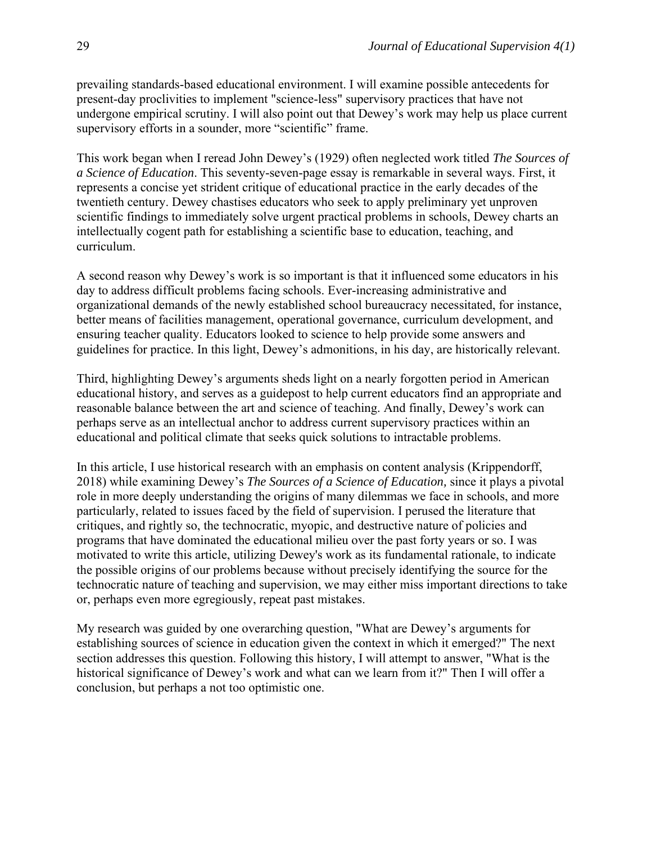prevailing standards-based educational environment. I will examine possible antecedents for present-day proclivities to implement "science-less" supervisory practices that have not undergone empirical scrutiny. I will also point out that Dewey's work may help us place current supervisory efforts in a sounder, more "scientific" frame.

This work began when I reread John Dewey's (1929) often neglected work titled *The Sources of a Science of Education*. This seventy-seven-page essay is remarkable in several ways. First, it represents a concise yet strident critique of educational practice in the early decades of the twentieth century. Dewey chastises educators who seek to apply preliminary yet unproven scientific findings to immediately solve urgent practical problems in schools, Dewey charts an intellectually cogent path for establishing a scientific base to education, teaching, and curriculum.

A second reason why Dewey's work is so important is that it influenced some educators in his day to address difficult problems facing schools. Ever-increasing administrative and organizational demands of the newly established school bureaucracy necessitated, for instance, better means of facilities management, operational governance, curriculum development, and ensuring teacher quality. Educators looked to science to help provide some answers and guidelines for practice. In this light, Dewey's admonitions, in his day, are historically relevant.

Third, highlighting Dewey's arguments sheds light on a nearly forgotten period in American educational history, and serves as a guidepost to help current educators find an appropriate and reasonable balance between the art and science of teaching. And finally, Dewey's work can perhaps serve as an intellectual anchor to address current supervisory practices within an educational and political climate that seeks quick solutions to intractable problems.

In this article, I use historical research with an emphasis on content analysis (Krippendorff, 2018) while examining Dewey's *The Sources of a Science of Education,* since it plays a pivotal role in more deeply understanding the origins of many dilemmas we face in schools, and more particularly, related to issues faced by the field of supervision. I perused the literature that critiques, and rightly so, the technocratic, myopic, and destructive nature of policies and programs that have dominated the educational milieu over the past forty years or so. I was motivated to write this article, utilizing Dewey's work as its fundamental rationale, to indicate the possible origins of our problems because without precisely identifying the source for the technocratic nature of teaching and supervision, we may either miss important directions to take or, perhaps even more egregiously, repeat past mistakes.

My research was guided by one overarching question, "What are Dewey's arguments for establishing sources of science in education given the context in which it emerged?" The next section addresses this question. Following this history, I will attempt to answer, "What is the historical significance of Dewey's work and what can we learn from it?" Then I will offer a conclusion, but perhaps a not too optimistic one.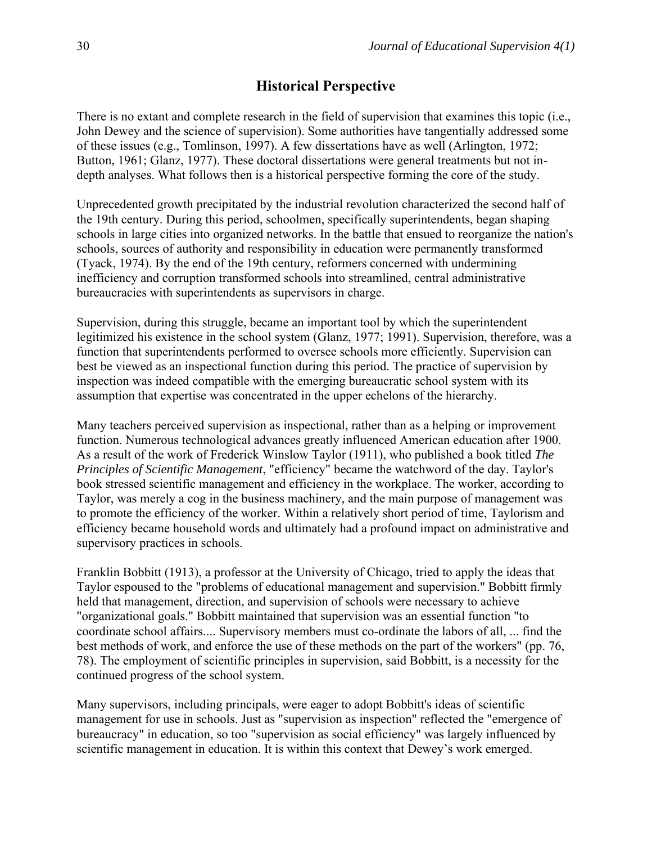#### **Historical Perspective**

There is no extant and complete research in the field of supervision that examines this topic (i.e., John Dewey and the science of supervision). Some authorities have tangentially addressed some of these issues (e.g., Tomlinson, 1997). A few dissertations have as well (Arlington, 1972; Button, 1961; Glanz, 1977). These doctoral dissertations were general treatments but not indepth analyses. What follows then is a historical perspective forming the core of the study.

Unprecedented growth precipitated by the industrial revolution characterized the second half of the 19th century. During this period, schoolmen, specifically superintendents, began shaping schools in large cities into organized networks. In the battle that ensued to reorganize the nation's schools, sources of authority and responsibility in education were permanently transformed (Tyack, 1974). By the end of the 19th century, reformers concerned with undermining inefficiency and corruption transformed schools into streamlined, central administrative bureaucracies with superintendents as supervisors in charge.

Supervision, during this struggle, became an important tool by which the superintendent legitimized his existence in the school system (Glanz, 1977; 1991). Supervision, therefore, was a function that superintendents performed to oversee schools more efficiently. Supervision can best be viewed as an inspectional function during this period. The practice of supervision by inspection was indeed compatible with the emerging bureaucratic school system with its assumption that expertise was concentrated in the upper echelons of the hierarchy.

Many teachers perceived supervision as inspectional, rather than as a helping or improvement function. Numerous technological advances greatly influenced American education after 1900. As a result of the work of Frederick Winslow Taylor (1911), who published a book titled *The Principles of Scientific Management*, "efficiency" became the watchword of the day. Taylor's book stressed scientific management and efficiency in the workplace. The worker, according to Taylor, was merely a cog in the business machinery, and the main purpose of management was to promote the efficiency of the worker. Within a relatively short period of time, Taylorism and efficiency became household words and ultimately had a profound impact on administrative and supervisory practices in schools.

Franklin Bobbitt (1913), a professor at the University of Chicago, tried to apply the ideas that Taylor espoused to the "problems of educational management and supervision." Bobbitt firmly held that management, direction, and supervision of schools were necessary to achieve "organizational goals." Bobbitt maintained that supervision was an essential function "to coordinate school affairs.... Supervisory members must co-ordinate the labors of all, ... find the best methods of work, and enforce the use of these methods on the part of the workers" (pp. 76, 78). The employment of scientific principles in supervision, said Bobbitt, is a necessity for the continued progress of the school system.

Many supervisors, including principals, were eager to adopt Bobbitt's ideas of scientific management for use in schools. Just as "supervision as inspection" reflected the "emergence of bureaucracy" in education, so too "supervision as social efficiency" was largely influenced by scientific management in education. It is within this context that Dewey's work emerged.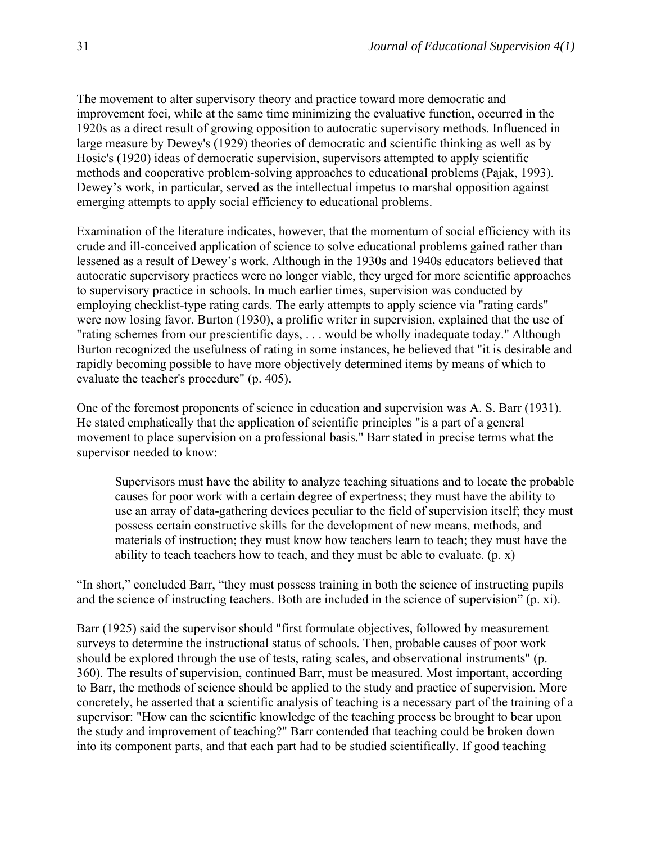The movement to alter supervisory theory and practice toward more democratic and improvement foci, while at the same time minimizing the evaluative function, occurred in the 1920s as a direct result of growing opposition to autocratic supervisory methods. Influenced in large measure by Dewey's (1929) theories of democratic and scientific thinking as well as by Hosic's (1920) ideas of democratic supervision, supervisors attempted to apply scientific methods and cooperative problem-solving approaches to educational problems (Pajak, 1993). Dewey's work, in particular, served as the intellectual impetus to marshal opposition against emerging attempts to apply social efficiency to educational problems.

Examination of the literature indicates, however, that the momentum of social efficiency with its crude and ill-conceived application of science to solve educational problems gained rather than lessened as a result of Dewey's work. Although in the 1930s and 1940s educators believed that autocratic supervisory practices were no longer viable, they urged for more scientific approaches to supervisory practice in schools. In much earlier times, supervision was conducted by employing checklist-type rating cards. The early attempts to apply science via "rating cards" were now losing favor. Burton (1930), a prolific writer in supervision, explained that the use of "rating schemes from our prescientific days, . . . would be wholly inadequate today." Although Burton recognized the usefulness of rating in some instances, he believed that "it is desirable and rapidly becoming possible to have more objectively determined items by means of which to evaluate the teacher's procedure" (p. 405).

One of the foremost proponents of science in education and supervision was A. S. Barr (1931). He stated emphatically that the application of scientific principles "is a part of a general movement to place supervision on a professional basis." Barr stated in precise terms what the supervisor needed to know:

Supervisors must have the ability to analyze teaching situations and to locate the probable causes for poor work with a certain degree of expertness; they must have the ability to use an array of data-gathering devices peculiar to the field of supervision itself; they must possess certain constructive skills for the development of new means, methods, and materials of instruction; they must know how teachers learn to teach; they must have the ability to teach teachers how to teach, and they must be able to evaluate. (p. x)

"In short," concluded Barr, "they must possess training in both the science of instructing pupils and the science of instructing teachers. Both are included in the science of supervision" (p. xi).

Barr (1925) said the supervisor should "first formulate objectives, followed by measurement surveys to determine the instructional status of schools. Then, probable causes of poor work should be explored through the use of tests, rating scales, and observational instruments" (p. 360). The results of supervision, continued Barr, must be measured. Most important, according to Barr, the methods of science should be applied to the study and practice of supervision. More concretely, he asserted that a scientific analysis of teaching is a necessary part of the training of a supervisor: "How can the scientific knowledge of the teaching process be brought to bear upon the study and improvement of teaching?" Barr contended that teaching could be broken down into its component parts, and that each part had to be studied scientifically. If good teaching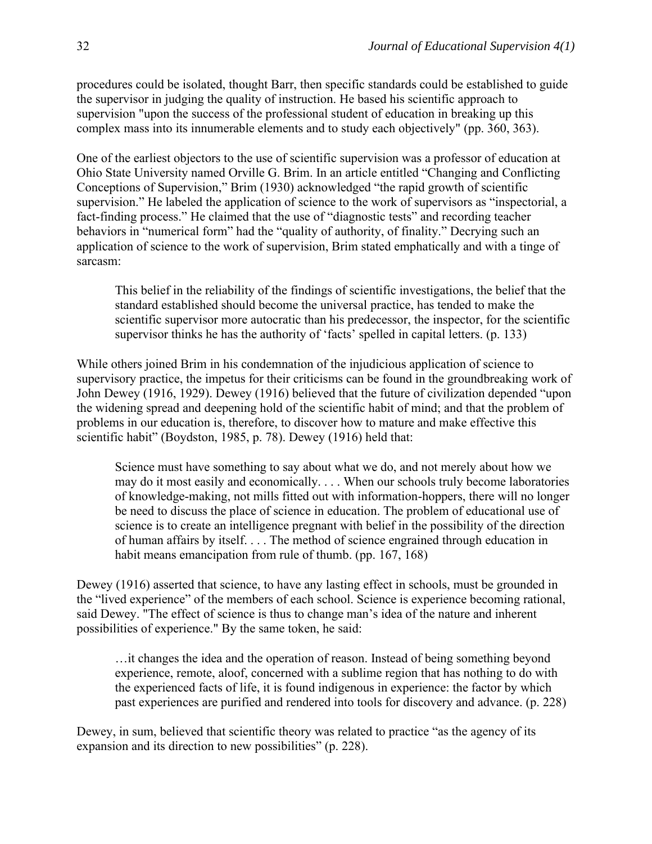procedures could be isolated, thought Barr, then specific standards could be established to guide the supervisor in judging the quality of instruction. He based his scientific approach to supervision "upon the success of the professional student of education in breaking up this complex mass into its innumerable elements and to study each objectively" (pp. 360, 363).

One of the earliest objectors to the use of scientific supervision was a professor of education at Ohio State University named Orville G. Brim. In an article entitled "Changing and Conflicting Conceptions of Supervision," Brim (1930) acknowledged "the rapid growth of scientific supervision." He labeled the application of science to the work of supervisors as "inspectorial, a fact-finding process." He claimed that the use of "diagnostic tests" and recording teacher behaviors in "numerical form" had the "quality of authority, of finality." Decrying such an application of science to the work of supervision, Brim stated emphatically and with a tinge of sarcasm:

This belief in the reliability of the findings of scientific investigations, the belief that the standard established should become the universal practice, has tended to make the scientific supervisor more autocratic than his predecessor, the inspector, for the scientific supervisor thinks he has the authority of 'facts' spelled in capital letters. (p. 133)

While others joined Brim in his condemnation of the injudicious application of science to supervisory practice, the impetus for their criticisms can be found in the groundbreaking work of John Dewey (1916, 1929). Dewey (1916) believed that the future of civilization depended "upon the widening spread and deepening hold of the scientific habit of mind; and that the problem of problems in our education is, therefore, to discover how to mature and make effective this scientific habit" (Boydston, 1985, p. 78). Dewey (1916) held that:

Science must have something to say about what we do, and not merely about how we may do it most easily and economically. . . . When our schools truly become laboratories of knowledge-making, not mills fitted out with information-hoppers, there will no longer be need to discuss the place of science in education. The problem of educational use of science is to create an intelligence pregnant with belief in the possibility of the direction of human affairs by itself. . . . The method of science engrained through education in habit means emancipation from rule of thumb. (pp. 167, 168)

Dewey (1916) asserted that science, to have any lasting effect in schools, must be grounded in the "lived experience" of the members of each school. Science is experience becoming rational, said Dewey. "The effect of science is thus to change man's idea of the nature and inherent possibilities of experience." By the same token, he said:

…it changes the idea and the operation of reason. Instead of being something beyond experience, remote, aloof, concerned with a sublime region that has nothing to do with the experienced facts of life, it is found indigenous in experience: the factor by which past experiences are purified and rendered into tools for discovery and advance. (p. 228)

Dewey, in sum, believed that scientific theory was related to practice "as the agency of its expansion and its direction to new possibilities" (p. 228).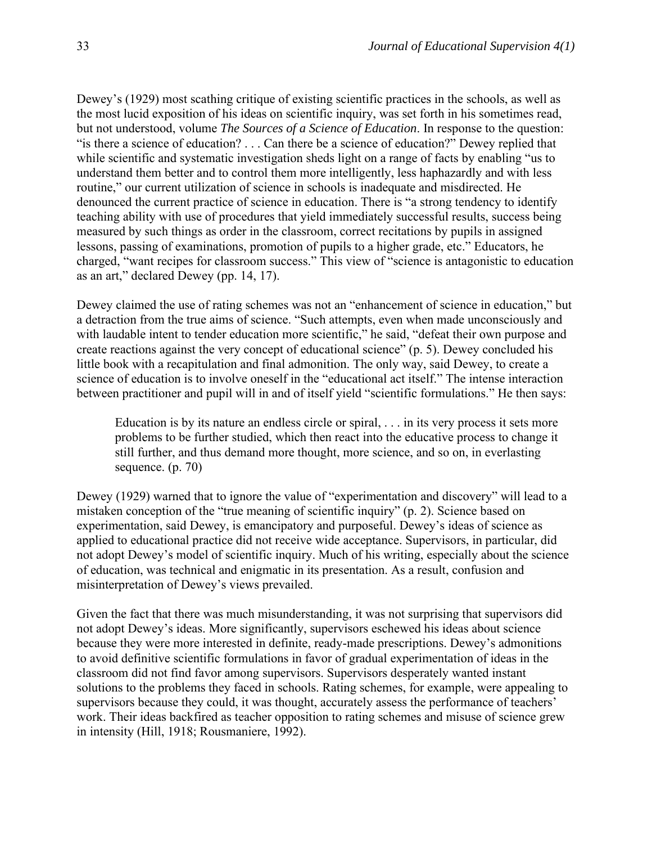Dewey's (1929) most scathing critique of existing scientific practices in the schools, as well as the most lucid exposition of his ideas on scientific inquiry, was set forth in his sometimes read, but not understood, volume *The Sources of a Science of Education*. In response to the question: "is there a science of education? . . . Can there be a science of education?" Dewey replied that while scientific and systematic investigation sheds light on a range of facts by enabling "us to understand them better and to control them more intelligently, less haphazardly and with less routine," our current utilization of science in schools is inadequate and misdirected. He denounced the current practice of science in education. There is "a strong tendency to identify teaching ability with use of procedures that yield immediately successful results, success being measured by such things as order in the classroom, correct recitations by pupils in assigned lessons, passing of examinations, promotion of pupils to a higher grade, etc." Educators, he charged, "want recipes for classroom success." This view of "science is antagonistic to education as an art," declared Dewey (pp. 14, 17).

Dewey claimed the use of rating schemes was not an "enhancement of science in education," but a detraction from the true aims of science. "Such attempts, even when made unconsciously and with laudable intent to tender education more scientific," he said, "defeat their own purpose and create reactions against the very concept of educational science" (p. 5). Dewey concluded his little book with a recapitulation and final admonition. The only way, said Dewey, to create a science of education is to involve oneself in the "educational act itself." The intense interaction between practitioner and pupil will in and of itself yield "scientific formulations." He then says:

Education is by its nature an endless circle or spiral, . . . in its very process it sets more problems to be further studied, which then react into the educative process to change it still further, and thus demand more thought, more science, and so on, in everlasting sequence. (p. 70)

Dewey (1929) warned that to ignore the value of "experimentation and discovery" will lead to a mistaken conception of the "true meaning of scientific inquiry" (p. 2). Science based on experimentation, said Dewey, is emancipatory and purposeful. Dewey's ideas of science as applied to educational practice did not receive wide acceptance. Supervisors, in particular, did not adopt Dewey's model of scientific inquiry. Much of his writing, especially about the science of education, was technical and enigmatic in its presentation. As a result, confusion and misinterpretation of Dewey's views prevailed.

Given the fact that there was much misunderstanding, it was not surprising that supervisors did not adopt Dewey's ideas. More significantly, supervisors eschewed his ideas about science because they were more interested in definite, ready-made prescriptions. Dewey's admonitions to avoid definitive scientific formulations in favor of gradual experimentation of ideas in the classroom did not find favor among supervisors. Supervisors desperately wanted instant solutions to the problems they faced in schools. Rating schemes, for example, were appealing to supervisors because they could, it was thought, accurately assess the performance of teachers' work. Their ideas backfired as teacher opposition to rating schemes and misuse of science grew in intensity (Hill, 1918; Rousmaniere, 1992).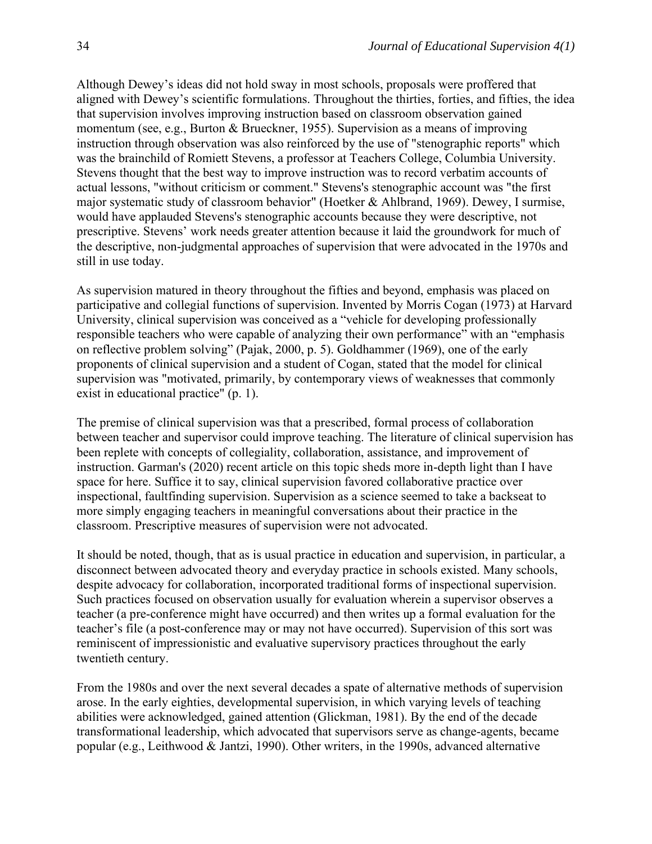Although Dewey's ideas did not hold sway in most schools, proposals were proffered that aligned with Dewey's scientific formulations. Throughout the thirties, forties, and fifties, the idea that supervision involves improving instruction based on classroom observation gained momentum (see, e.g., Burton & Brueckner, 1955). Supervision as a means of improving instruction through observation was also reinforced by the use of "stenographic reports" which was the brainchild of Romiett Stevens, a professor at Teachers College, Columbia University. Stevens thought that the best way to improve instruction was to record verbatim accounts of actual lessons, "without criticism or comment." Stevens's stenographic account was "the first major systematic study of classroom behavior" (Hoetker & Ahlbrand, 1969). Dewey, I surmise, would have applauded Stevens's stenographic accounts because they were descriptive, not prescriptive. Stevens' work needs greater attention because it laid the groundwork for much of the descriptive, non-judgmental approaches of supervision that were advocated in the 1970s and still in use today.

As supervision matured in theory throughout the fifties and beyond, emphasis was placed on participative and collegial functions of supervision. Invented by Morris Cogan (1973) at Harvard University, clinical supervision was conceived as a "vehicle for developing professionally responsible teachers who were capable of analyzing their own performance" with an "emphasis on reflective problem solving" (Pajak, 2000, p. 5). Goldhammer (1969), one of the early proponents of clinical supervision and a student of Cogan, stated that the model for clinical supervision was "motivated, primarily, by contemporary views of weaknesses that commonly exist in educational practice" (p. 1).

The premise of clinical supervision was that a prescribed, formal process of collaboration between teacher and supervisor could improve teaching. The literature of clinical supervision has been replete with concepts of collegiality, collaboration, assistance, and improvement of instruction. Garman's (2020) recent article on this topic sheds more in-depth light than I have space for here. Suffice it to say, clinical supervision favored collaborative practice over inspectional, faultfinding supervision. Supervision as a science seemed to take a backseat to more simply engaging teachers in meaningful conversations about their practice in the classroom. Prescriptive measures of supervision were not advocated.

It should be noted, though, that as is usual practice in education and supervision, in particular, a disconnect between advocated theory and everyday practice in schools existed. Many schools, despite advocacy for collaboration, incorporated traditional forms of inspectional supervision. Such practices focused on observation usually for evaluation wherein a supervisor observes a teacher (a pre-conference might have occurred) and then writes up a formal evaluation for the teacher's file (a post-conference may or may not have occurred). Supervision of this sort was reminiscent of impressionistic and evaluative supervisory practices throughout the early twentieth century.

From the 1980s and over the next several decades a spate of alternative methods of supervision arose. In the early eighties, developmental supervision, in which varying levels of teaching abilities were acknowledged, gained attention (Glickman, 1981). By the end of the decade transformational leadership, which advocated that supervisors serve as change-agents, became popular (e.g., Leithwood & Jantzi, 1990). Other writers, in the 1990s, advanced alternative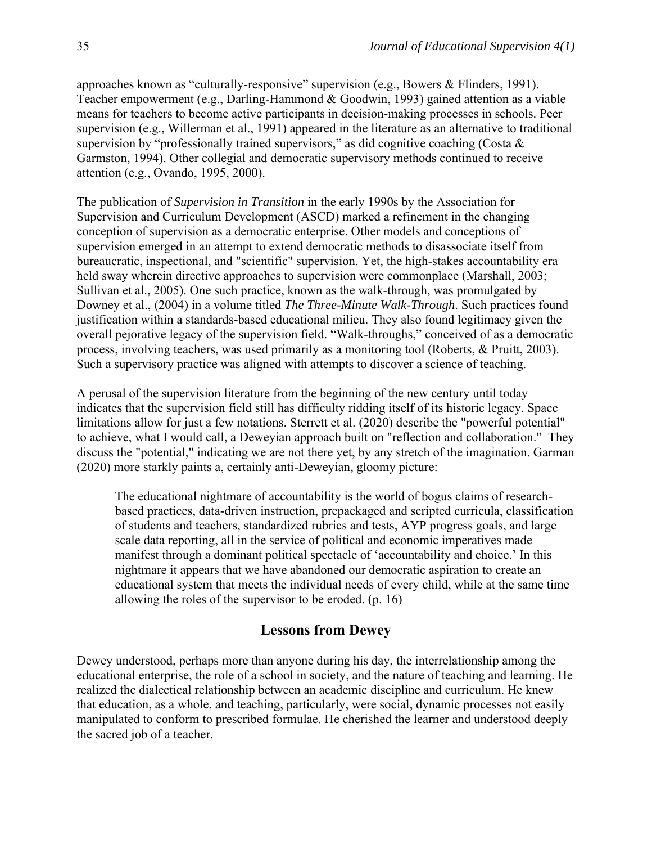approaches known as "culturally-responsive" supervision (e.g., Bowers & Flinders, 1991). Teacher empowerment (e.g., Darling-Hammond & Goodwin, 1993) gained attention as a viable means for teachers to become active participants in decision-making processes in schools. Peer supervision (e.g., Willerman et al., 1991) appeared in the literature as an alternative to traditional supervision by "professionally trained supervisors," as did cognitive coaching (Costa  $\&$ Garmston, 1994). Other collegial and democratic supervisory methods continued to receive attention (e.g., Ovando, 1995, 2000).

The publication of *Supervision in Transition* in the early 1990s by the Association for Supervision and Curriculum Development (ASCD) marked a refinement in the changing conception of supervision as a democratic enterprise. Other models and conceptions of supervision emerged in an attempt to extend democratic methods to disassociate itself from bureaucratic, inspectional, and "scientific" supervision. Yet, the high-stakes accountability era held sway wherein directive approaches to supervision were commonplace (Marshall, 2003; Sullivan et al., 2005). One such practice, known as the walk-through, was promulgated by Downey et al., (2004) in a volume titled *The Three-Minute Walk-Through*. Such practices found justification within a standards-based educational milieu. They also found legitimacy given the overall pejorative legacy of the supervision field. "Walk-throughs," conceived of as a democratic process, involving teachers, was used primarily as a monitoring tool (Roberts, & Pruitt, 2003). Such a supervisory practice was aligned with attempts to discover a science of teaching.

A perusal of the supervision literature from the beginning of the new century until today indicates that the supervision field still has difficulty ridding itself of its historic legacy. Space limitations allow for just a few notations. Sterrett et al. (2020) describe the "powerful potential" to achieve, what I would call, a Deweyian approach built on "reflection and collaboration." They discuss the "potential," indicating we are not there yet, by any stretch of the imagination. Garman (2020) more starkly paints a, certainly anti-Deweyian, gloomy picture:

The educational nightmare of accountability is the world of bogus claims of researchbased practices, data-driven instruction, prepackaged and scripted curricula, classification of students and teachers, standardized rubrics and tests, AYP progress goals, and large scale data reporting, all in the service of political and economic imperatives made manifest through a dominant political spectacle of 'accountability and choice.' In this nightmare it appears that we have abandoned our democratic aspiration to create an educational system that meets the individual needs of every child, while at the same time allowing the roles of the supervisor to be eroded. (p. 16)

#### **Lessons from Dewey**

Dewey understood, perhaps more than anyone during his day, the interrelationship among the educational enterprise, the role of a school in society, and the nature of teaching and learning. He realized the dialectical relationship between an academic discipline and curriculum. He knew that education, as a whole, and teaching, particularly, were social, dynamic processes not easily manipulated to conform to prescribed formulae. He cherished the learner and understood deeply the sacred job of a teacher.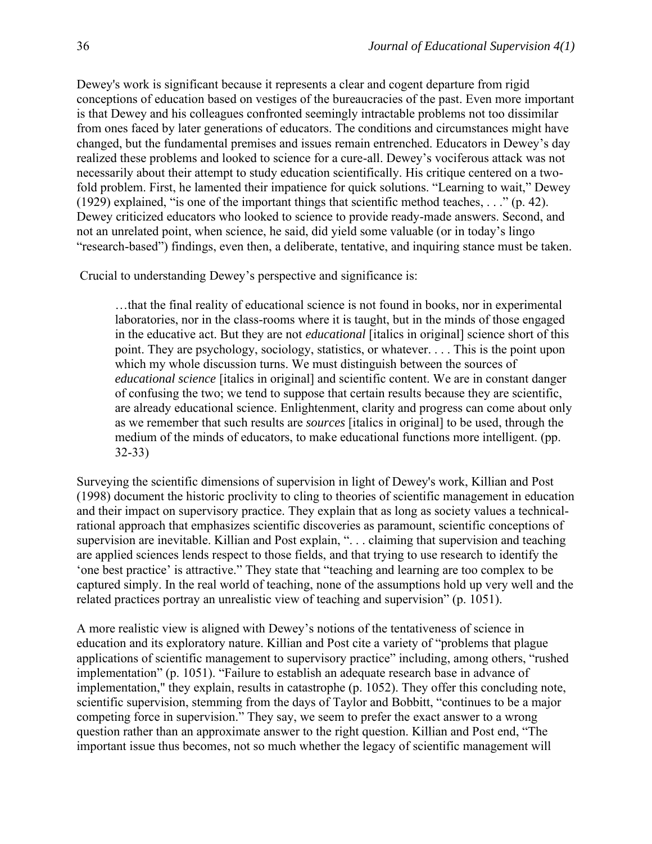Dewey's work is significant because it represents a clear and cogent departure from rigid conceptions of education based on vestiges of the bureaucracies of the past. Even more important is that Dewey and his colleagues confronted seemingly intractable problems not too dissimilar from ones faced by later generations of educators. The conditions and circumstances might have changed, but the fundamental premises and issues remain entrenched. Educators in Dewey's day realized these problems and looked to science for a cure-all. Dewey's vociferous attack was not necessarily about their attempt to study education scientifically. His critique centered on a twofold problem. First, he lamented their impatience for quick solutions. "Learning to wait," Dewey (1929) explained, "is one of the important things that scientific method teaches, . . ." (p. 42). Dewey criticized educators who looked to science to provide ready-made answers. Second, and not an unrelated point, when science, he said, did yield some valuable (or in today's lingo "research-based") findings, even then, a deliberate, tentative, and inquiring stance must be taken.

Crucial to understanding Dewey's perspective and significance is:

…that the final reality of educational science is not found in books, nor in experimental laboratories, nor in the class-rooms where it is taught, but in the minds of those engaged in the educative act. But they are not *educational* [italics in original] science short of this point. They are psychology, sociology, statistics, or whatever. . . . This is the point upon which my whole discussion turns. We must distinguish between the sources of *educational science* [italics in original] and scientific content. We are in constant danger of confusing the two; we tend to suppose that certain results because they are scientific, are already educational science. Enlightenment, clarity and progress can come about only as we remember that such results are *sources* [italics in original] to be used, through the medium of the minds of educators, to make educational functions more intelligent. (pp. 32-33)

Surveying the scientific dimensions of supervision in light of Dewey's work, Killian and Post (1998) document the historic proclivity to cling to theories of scientific management in education and their impact on supervisory practice. They explain that as long as society values a technicalrational approach that emphasizes scientific discoveries as paramount, scientific conceptions of supervision are inevitable. Killian and Post explain, ". . . claiming that supervision and teaching are applied sciences lends respect to those fields, and that trying to use research to identify the 'one best practice' is attractive." They state that "teaching and learning are too complex to be captured simply. In the real world of teaching, none of the assumptions hold up very well and the related practices portray an unrealistic view of teaching and supervision" (p. 1051).

A more realistic view is aligned with Dewey's notions of the tentativeness of science in education and its exploratory nature. Killian and Post cite a variety of "problems that plague applications of scientific management to supervisory practice" including, among others, "rushed implementation" (p. 1051). "Failure to establish an adequate research base in advance of implementation," they explain, results in catastrophe (p. 1052). They offer this concluding note, scientific supervision, stemming from the days of Taylor and Bobbitt, "continues to be a major competing force in supervision." They say, we seem to prefer the exact answer to a wrong question rather than an approximate answer to the right question. Killian and Post end, "The important issue thus becomes, not so much whether the legacy of scientific management will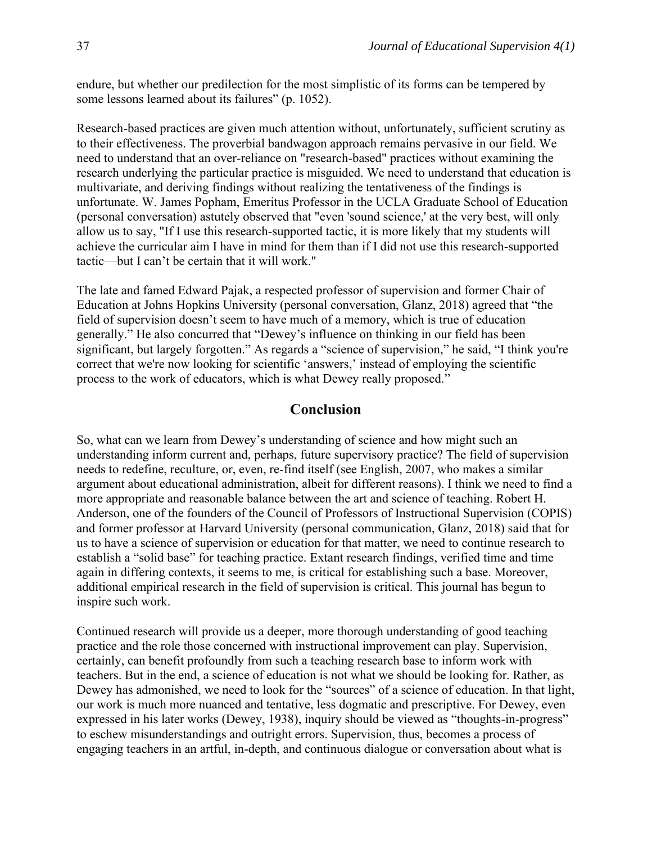endure, but whether our predilection for the most simplistic of its forms can be tempered by some lessons learned about its failures" (p. 1052).

Research-based practices are given much attention without, unfortunately, sufficient scrutiny as to their effectiveness. The proverbial bandwagon approach remains pervasive in our field. We need to understand that an over-reliance on "research-based" practices without examining the research underlying the particular practice is misguided. We need to understand that education is multivariate, and deriving findings without realizing the tentativeness of the findings is unfortunate. W. James Popham, Emeritus Professor in the UCLA Graduate School of Education (personal conversation) astutely observed that "even 'sound science,' at the very best, will only allow us to say, "If I use this research-supported tactic, it is more likely that my students will achieve the curricular aim I have in mind for them than if I did not use this research-supported tactic—but I can't be certain that it will work."

The late and famed Edward Pajak, a respected professor of supervision and former Chair of Education at Johns Hopkins University (personal conversation, Glanz, 2018) agreed that "the field of supervision doesn't seem to have much of a memory, which is true of education generally." He also concurred that "Dewey's influence on thinking in our field has been significant, but largely forgotten." As regards a "science of supervision," he said, "I think you're correct that we're now looking for scientific 'answers,' instead of employing the scientific process to the work of educators, which is what Dewey really proposed."

#### **Conclusion**

So, what can we learn from Dewey's understanding of science and how might such an understanding inform current and, perhaps, future supervisory practice? The field of supervision needs to redefine, reculture, or, even, re-find itself (see English, 2007, who makes a similar argument about educational administration, albeit for different reasons). I think we need to find a more appropriate and reasonable balance between the art and science of teaching. Robert H. Anderson, one of the founders of the Council of Professors of Instructional Supervision (COPIS) and former professor at Harvard University (personal communication, Glanz, 2018) said that for us to have a science of supervision or education for that matter, we need to continue research to establish a "solid base" for teaching practice. Extant research findings, verified time and time again in differing contexts, it seems to me, is critical for establishing such a base. Moreover, additional empirical research in the field of supervision is critical. This journal has begun to inspire such work.

Continued research will provide us a deeper, more thorough understanding of good teaching practice and the role those concerned with instructional improvement can play. Supervision, certainly, can benefit profoundly from such a teaching research base to inform work with teachers. But in the end, a science of education is not what we should be looking for. Rather, as Dewey has admonished, we need to look for the "sources" of a science of education. In that light, our work is much more nuanced and tentative, less dogmatic and prescriptive. For Dewey, even expressed in his later works (Dewey, 1938), inquiry should be viewed as "thoughts-in-progress" to eschew misunderstandings and outright errors. Supervision, thus, becomes a process of engaging teachers in an artful, in-depth, and continuous dialogue or conversation about what is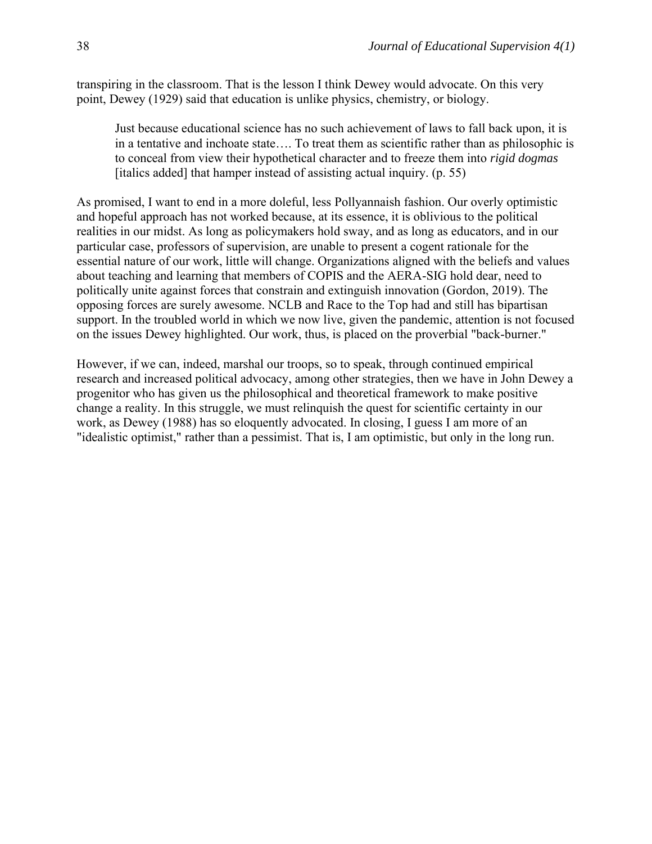transpiring in the classroom. That is the lesson I think Dewey would advocate. On this very point, Dewey (1929) said that education is unlike physics, chemistry, or biology.

Just because educational science has no such achievement of laws to fall back upon, it is in a tentative and inchoate state…. To treat them as scientific rather than as philosophic is to conceal from view their hypothetical character and to freeze them into *rigid dogmas* [italics added] that hamper instead of assisting actual inquiry. (p. 55)

As promised, I want to end in a more doleful, less Pollyannaish fashion. Our overly optimistic and hopeful approach has not worked because, at its essence, it is oblivious to the political realities in our midst. As long as policymakers hold sway, and as long as educators, and in our particular case, professors of supervision, are unable to present a cogent rationale for the essential nature of our work, little will change. Organizations aligned with the beliefs and values about teaching and learning that members of COPIS and the AERA-SIG hold dear, need to politically unite against forces that constrain and extinguish innovation (Gordon, 2019). The opposing forces are surely awesome. NCLB and Race to the Top had and still has bipartisan support. In the troubled world in which we now live, given the pandemic, attention is not focused on the issues Dewey highlighted. Our work, thus, is placed on the proverbial "back-burner."

However, if we can, indeed, marshal our troops, so to speak, through continued empirical research and increased political advocacy, among other strategies, then we have in John Dewey a progenitor who has given us the philosophical and theoretical framework to make positive change a reality. In this struggle, we must relinquish the quest for scientific certainty in our work, as Dewey (1988) has so eloquently advocated. In closing, I guess I am more of an "idealistic optimist," rather than a pessimist. That is, I am optimistic, but only in the long run.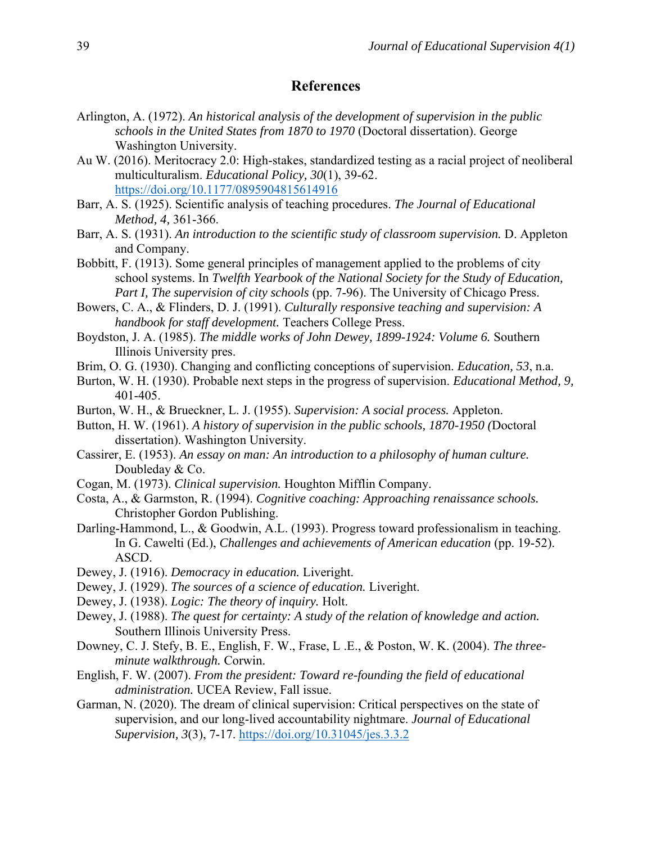#### **References**

- Arlington, A. (1972). *An historical analysis of the development of supervision in the public schools in the United States from 1870 to 1970* (Doctoral dissertation). George Washington University.
- Au W. (2016). Meritocracy 2.0: High-stakes, standardized testing as a racial project of neoliberal multiculturalism. *Educational Policy, 30*(1), 39-62. [https://doi.org/10.1177/0895904815614916](https://doi.org/10.1177%2F0895904815614916)
- Barr, A. S. (1925). Scientific analysis of teaching procedures. *The Journal of Educational Method, 4,* 361-366.
- Barr, A. S. (1931). *An introduction to the scientific study of classroom supervision.* D. Appleton and Company.
- Bobbitt, F. (1913). Some general principles of management applied to the problems of city school systems. In *Twelfth Yearbook of the National Society for the Study of Education, Part I, The supervision of city schools* (pp. 7-96). The University of Chicago Press.
- Bowers, C. A., & Flinders, D. J. (1991). *Culturally responsive teaching and supervision: A handbook for staff development.* Teachers College Press.
- Boydston, J. A. (1985). *The middle works of John Dewey, 1899-1924: Volume 6.* Southern Illinois University pres.
- Brim, O. G. (1930). Changing and conflicting conceptions of supervision. *Education, 53*, n.a.
- Burton, W. H. (1930). Probable next steps in the progress of supervision. *Educational Method, 9,* 401-405.
- Burton, W. H., & Brueckner, L. J. (1955). *Supervision: A social process.* Appleton.
- Button, H. W. (1961). *A history of supervision in the public schools, 1870-1950 (*Doctoral dissertation). Washington University.
- Cassirer, E. (1953). *An essay on man: An introduction to a philosophy of human culture.* Doubleday & Co.
- Cogan, M. (1973). *Clinical supervision.* Houghton Mifflin Company.
- Costa, A., & Garmston, R. (1994). *Cognitive coaching: Approaching renaissance schools.*  Christopher Gordon Publishing.
- Darling-Hammond, L., & Goodwin, A.L. (1993). Progress toward professionalism in teaching. In G. Cawelti (Ed.), *Challenges and achievements of American education* (pp. 19-52). ASCD.
- Dewey, J. (1916). *Democracy in education.* Liveright.
- Dewey, J. (1929). *The sources of a science of education.* Liveright.
- Dewey, J. (1938). *Logic: The theory of inquiry.* Holt.
- Dewey, J. (1988). *The quest for certainty: A study of the relation of knowledge and action.* Southern Illinois University Press.
- Downey, C. J. Stefy, B. E., English, F. W., Frase, L .E., & Poston, W. K. (2004). *The threeminute walkthrough.* Corwin.
- English, F. W. (2007). *From the president: Toward re-founding the field of educational administration.* UCEA Review, Fall issue.
- Garman, N. (2020). The dream of clinical supervision: Critical perspectives on the state of supervision, and our long-lived accountability nightmare. *Journal of Educational Supervision, 3*(3), 7-17. <https://doi.org/10.31045/jes.3.3.2>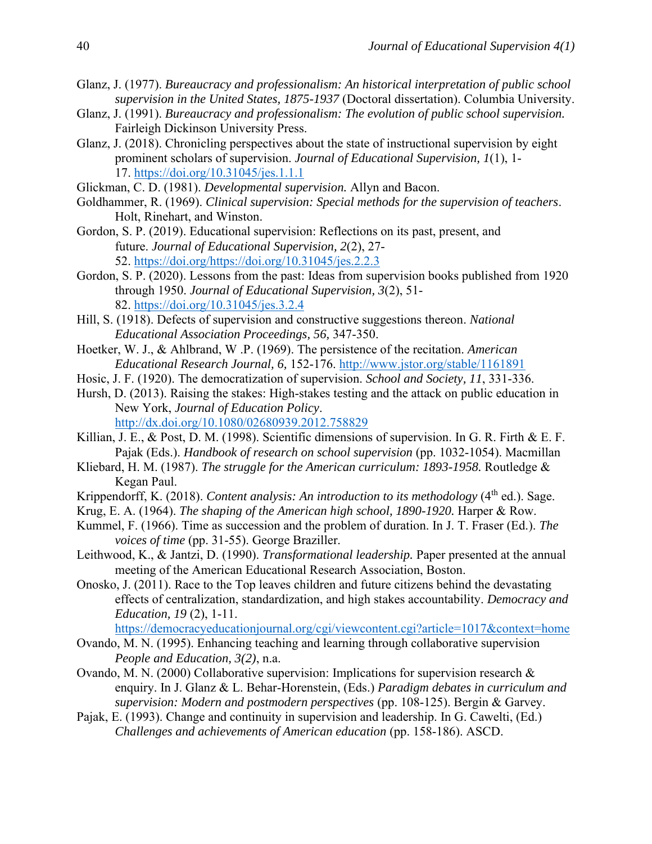- Glanz, J. (1977). *Bureaucracy and professionalism: An historical interpretation of public school supervision in the United States, 1875-1937* (Doctoral dissertation). Columbia University.
- Glanz, J. (1991). *Bureaucracy and professionalism: The evolution of public school supervision.* Fairleigh Dickinson University Press.
- Glanz, J. (2018). Chronicling perspectives about the state of instructional supervision by eight prominent scholars of supervision. *Journal of Educational Supervision, 1*(1), 1- 17. <https://doi.org/10.31045/jes.1.1.1>
- Glickman, C. D. (1981). *Developmental supervision.* Allyn and Bacon.
- Goldhammer, R. (1969). *Clinical supervision: Special methods for the supervision of teachers*. Holt, Rinehart, and Winston.
- Gordon, S. P. (2019). Educational supervision: Reflections on its past, present, and future. *Journal of Educational Supervision, 2*(2), 27- 52. [https://doi.org/https://doi.org/10.31045/jes.2.2.3](https://doi.org/https:/doi.org/10.31045/jes.2.2.3)
- Gordon, S. P. (2020). Lessons from the past: Ideas from supervision books published from 1920 through 1950. *Journal of Educational Supervision, 3*(2), 51- 82. <https://doi.org/10.31045/jes.3.2.4>
- Hill, S. (1918). Defects of supervision and constructive suggestions thereon. *National Educational Association Proceedings, 56,* 347-350.
- Hoetker, W. J., & Ahlbrand, W .P. (1969). The persistence of the recitation. *American Educational Research Journal, 6,* 152-176.<http://www.jstor.org/stable/1161891>
- Hosic, J. F. (1920). The democratization of supervision. *School and Society, 11*, 331-336.
- Hursh, D. (2013). Raising the stakes: High-stakes testing and the attack on public education in New York, *Journal of Education Policy*. <http://dx.doi.org/10.1080/02680939.2012.758829>
- Killian, J. E., & Post, D. M. (1998). Scientific dimensions of supervision. In G. R. Firth & E. F. Pajak (Eds.). *Handbook of research on school supervision* (pp. 1032-1054). Macmillan
- Kliebard, H. M. (1987). *The struggle for the American curriculum: 1893-1958.* Routledge & Kegan Paul.
- Krippendorff, K. (2018). *Content analysis: An introduction to its methodology* (4<sup>th</sup> ed.). Sage.
- Krug, E. A. (1964). *The shaping of the American high school, 1890-1920.* Harper & Row.
- Kummel, F. (1966). Time as succession and the problem of duration. In J. T. Fraser (Ed.). *The voices of time* (pp. 31-55). George Braziller.
- Leithwood, K., & Jantzi, D. (1990). *Transformational leadership.* Paper presented at the annual meeting of the American Educational Research Association, Boston.
- Onosko, J. (2011). Race to the Top leaves children and future citizens behind the devastating effects of centralization, standardization, and high stakes accountability. *Democracy and Education, 19* (2), 1-11.

<https://democracyeducationjournal.org/cgi/viewcontent.cgi?article=1017&context=home>

- Ovando, M. N. (1995). Enhancing teaching and learning through collaborative supervision *People and Education, 3(2)*, n.a.
- Ovando, M. N. (2000) Collaborative supervision: Implications for supervision research & enquiry. In J. Glanz & L. Behar-Horenstein, (Eds.) *Paradigm debates in curriculum and supervision: Modern and postmodern perspectives* (pp. 108-125). Bergin & Garvey.
- Pajak, E. (1993). Change and continuity in supervision and leadership. In G. Cawelti, (Ed.) *Challenges and achievements of American education* (pp. 158-186). ASCD.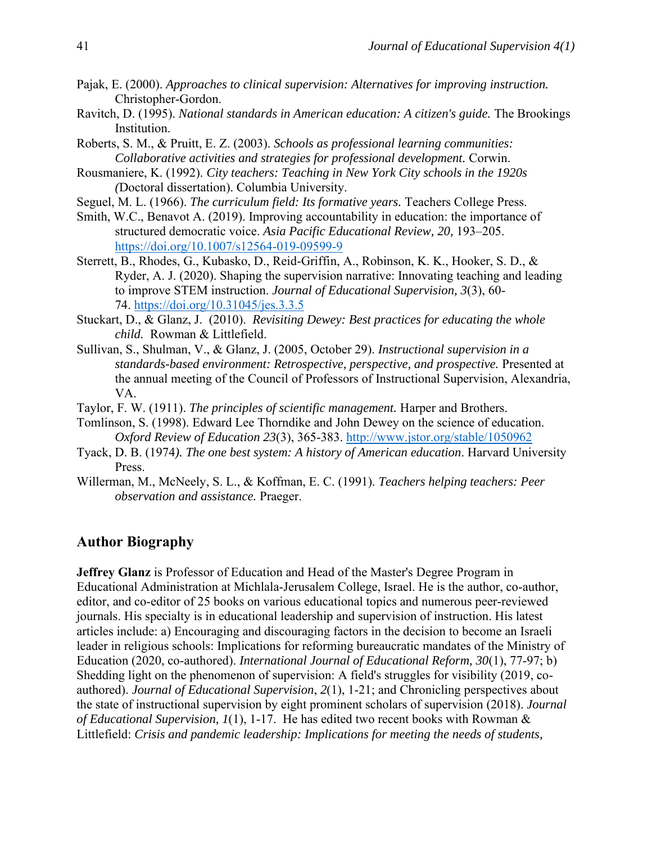- Pajak, E. (2000). *Approaches to clinical supervision: Alternatives for improving instruction.*  Christopher-Gordon.
- Ravitch, D. (1995). *National standards in American education: A citizen's guide.* The Brookings Institution.
- Roberts, S. M., & Pruitt, E. Z. (2003). *Schools as professional learning communities: Collaborative activities and strategies for professional development.* Corwin.
- Rousmaniere, K. (1992). *City teachers: Teaching in New York City schools in the 1920s (*Doctoral dissertation). Columbia University.
- Seguel, M. L. (1966). *The curriculum field: Its formative years.* Teachers College Press.
- Smith, W.C., Benavot A. (2019). Improving accountability in education: the importance of structured democratic voice. *Asia Pacific Educational Review, 20,* 193–205. <https://doi.org/10.1007/s12564-019-09599-9>
- Sterrett, B., Rhodes, G., Kubasko, D., Reid-Griffin, A., Robinson, K. K., Hooker, S. D., & Ryder, A. J. (2020). Shaping the supervision narrative: Innovating teaching and leading to improve STEM instruction. *Journal of Educational Supervision, 3*(3), 60- 74. <https://doi.org/10.31045/jes.3.3.5>
- Stuckart, D., & Glanz, J. (2010). *Revisiting Dewey: Best practices for educating the whole child.* Rowman & Littlefield.
- Sullivan, S., Shulman, V., & Glanz, J. (2005, October 29). *Instructional supervision in a standards-based environment: Retrospective, perspective, and prospective.* Presented at the annual meeting of the Council of Professors of Instructional Supervision, Alexandria, VA.
- Taylor, F. W. (1911). *The principles of scientific management.* Harper and Brothers.
- Tomlinson, S. (1998). Edward Lee Thorndike and John Dewey on the science of education. *Oxford Review of Education 23*(3), 365-383.<http://www.jstor.org/stable/1050962>
- Tyack, D. B. (1974*). The one best system: A history of American education*. Harvard University Press.
- Willerman, M., McNeely, S. L., & Koffman, E. C. (1991). *Teachers helping teachers: Peer observation and assistance.* Praeger.

#### **Author Biography**

**Jeffrey Glanz** is Professor of Education and Head of the Master's Degree Program in Educational Administration at Michlala-Jerusalem College, Israel. He is the author, co-author, editor, and co-editor of 25 books on various educational topics and numerous peer-reviewed journals. His specialty is in educational leadership and supervision of instruction. His latest articles include: a) Encouraging and discouraging factors in the decision to become an Israeli leader in religious schools: Implications for reforming bureaucratic mandates of the Ministry of Education (2020, co-authored). *International Journal of Educational Reform, 30*(1), 77-97; b) Shedding light on the phenomenon of supervision: A field's struggles for visibility (2019, coauthored). *Journal of Educational Supervision*, *2*(1), 1-21; and Chronicling perspectives about the state of instructional supervision by eight prominent scholars of supervision (2018). *Journal of Educational Supervision, 1*(1), 1-17. He has edited two recent books with Rowman & Littlefield: *Crisis and pandemic leadership: Implications for meeting the needs of students,*